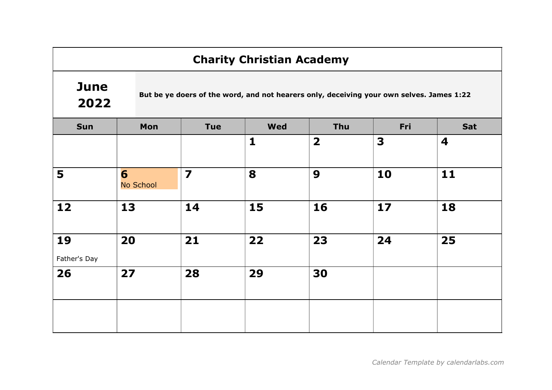## **June** 2022

But be ye doers of the word, and not hearers only, deceiving your own selves. James 1:22

| Sun                | Mon            | Tue                     | <b>Wed</b>   | Thu                     | Fri | Sat |
|--------------------|----------------|-------------------------|--------------|-------------------------|-----|-----|
|                    |                |                         | $\mathbf{1}$ | $\overline{\mathbf{2}}$ | 3   | 4   |
| 5                  | 6<br>No School | $\overline{\mathbf{z}}$ | 8            | $\boldsymbol{9}$        | 10  | 11  |
| $12$               | 13             | 14                      | 15           | 16                      | 17  | 18  |
| 19<br>Father's Day | 20             | 21                      | 22           | 23                      | 24  | 25  |
| 26                 | 27             | 28                      | 29           | 30                      |     |     |
|                    |                |                         |              |                         |     |     |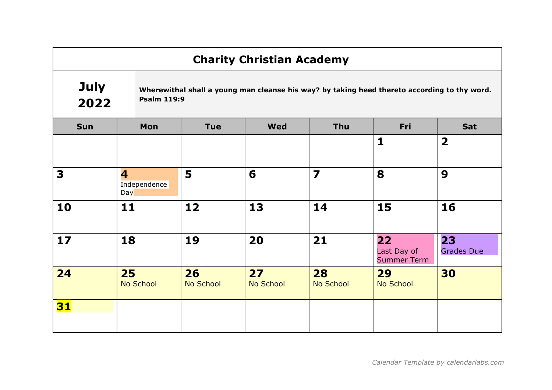#### July 2022 Wherewithal shall a young man cleanse his way? by taking heed thereto according to thy word. Psalm 119:9

| <b>Sun</b> | Mon                      | <b>Tue</b>             | <b>Wed</b>             | Thu                     | Fri                                     | Sat                     |
|------------|--------------------------|------------------------|------------------------|-------------------------|-----------------------------------------|-------------------------|
|            |                          |                        |                        |                         | $\mathbf{1}$                            | $\overline{\mathbf{2}}$ |
| 3          | 4<br>Independence<br>Day | 5                      | 6                      | $\overline{\mathbf{z}}$ | 8                                       | 9                       |
| 10         | 11                       | 12                     | 13                     | 14                      | 15                                      | 16                      |
| 17         | 18                       | 19                     | 20                     | 21                      | 22<br>Last Day of<br><b>Summer Term</b> | 23<br><b>Grades Due</b> |
| 24         | 25<br>No School          | 26<br><b>No School</b> | 27<br><b>No School</b> | 28<br>No School         | 29<br><b>No School</b>                  | 30                      |
| 31         |                          |                        |                        |                         |                                         |                         |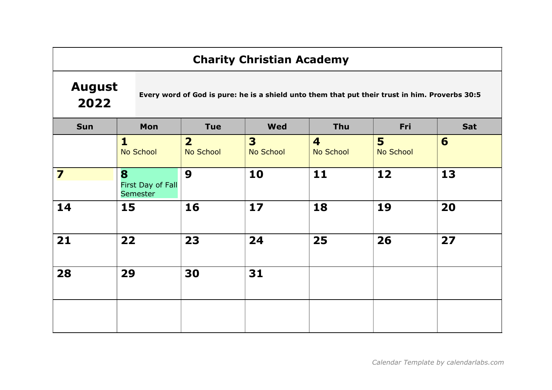# August 2022

Every word of God is pure: he is a shield unto them that put their trust in him. Proverbs 30:5

| <b>Sun</b>              | Mon                                | <b>Tue</b>                  | <b>Wed</b>                                  | Thu                                  | Fri            | Sat |
|-------------------------|------------------------------------|-----------------------------|---------------------------------------------|--------------------------------------|----------------|-----|
|                         | $\mathbf{1}$<br>No School          | $\overline{2}$<br>No School | $\overline{\mathbf{3}}$<br><b>No School</b> | $\overline{\mathbf{4}}$<br>No School | 5<br>No School | 6   |
| $\overline{\mathbf{z}}$ | 8<br>First Day of Fall<br>Semester | 9                           | 10                                          | 11                                   | 12             | 13  |
| 14                      | 15                                 | 16                          | 17                                          | 18                                   | 19             | 20  |
| 21                      | 22                                 | 23                          | 24                                          | 25                                   | 26             | 27  |
| 28                      | 29                                 | 30                          | 31                                          |                                      |                |     |
|                         |                                    |                             |                                             |                                      |                |     |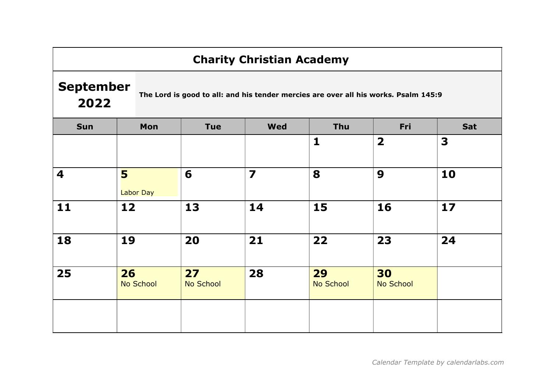#### September 2022

The Lord is good to all: and his tender mercies are over all his works. Psalm 145:9

| Sun | Mon                    | <b>Tue</b>      | <b>Wed</b>              | Thu                    | Fri                     | Sat |
|-----|------------------------|-----------------|-------------------------|------------------------|-------------------------|-----|
|     |                        |                 |                         | $\mathbf{1}$           | $\overline{\mathbf{2}}$ | 3   |
| 4   | 5<br>Labor Day         | 6               | $\overline{\mathbf{z}}$ | 8                      | 9                       | 10  |
| 11  | 12                     | 13              | 14                      | 15                     | 16                      | 17  |
| 18  | 19                     | 20              | 21                      | 22                     | 23                      | 24  |
| 25  | 26<br><b>No School</b> | 27<br>No School | 28                      | 29<br><b>No School</b> | 30<br><b>No School</b>  |     |
|     |                        |                 |                         |                        |                         |     |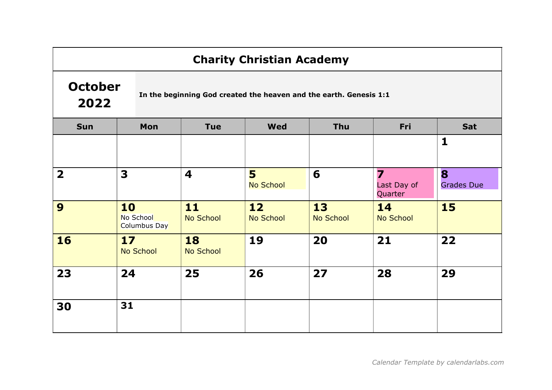# **October** 2022

In the beginning God created the heaven and the earth. Genesis 1:1

| <b>Sun</b>              | Mon                             | <b>Tue</b>              | <b>Wed</b>             | Thu             | Fri                         | Sat                    |
|-------------------------|---------------------------------|-------------------------|------------------------|-----------------|-----------------------------|------------------------|
|                         |                                 |                         |                        |                 |                             | $\mathbf{1}$           |
| $\overline{\mathbf{2}}$ | 3                               | $\overline{\mathbf{4}}$ | 5<br><b>No School</b>  | 6               | 7<br>Last Day of<br>Quarter | 8<br><b>Grades Due</b> |
| 9                       | 10<br>No School<br>Columbus Day | 11<br>No School         | 12<br><b>No School</b> | 13<br>No School | 14<br>No School             | <b>15</b>              |
| 16                      | 17<br>No School                 | 18<br><b>No School</b>  | 19                     | 20              | 21                          | 22                     |
| 23                      | 24                              | 25                      | 26                     | 27              | 28                          | 29                     |
| 30                      | 31                              |                         |                        |                 |                             |                        |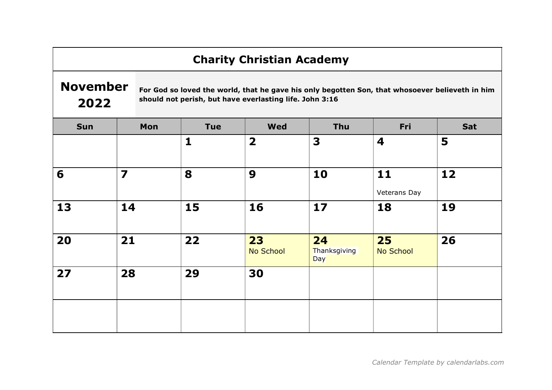#### November 2022

For God so loved the world, that he gave his only begotten Son, that whosoever believeth in him should not perish, but have everlasting life. John 3:16

| Sun | Mon                     | Tue          | <b>Wed</b>              | Thu                       | Fri                | Sat |
|-----|-------------------------|--------------|-------------------------|---------------------------|--------------------|-----|
|     |                         | $\mathbf{1}$ | $\overline{\mathbf{2}}$ | 3                         | 4                  | 5   |
| 6   | $\overline{\mathbf{z}}$ | 8            | 9                       | 10                        | 11<br>Veterans Day | 12  |
| 13  | 14                      | 15           | 16                      | 17                        | 18                 | 19  |
| 20  | 21                      | 22           | 23<br>No School         | 24<br>Thanksgiving<br>Day | 25<br>No School    | 26  |
| 27  | 28                      | 29           | 30                      |                           |                    |     |
|     |                         |              |                         |                           |                    |     |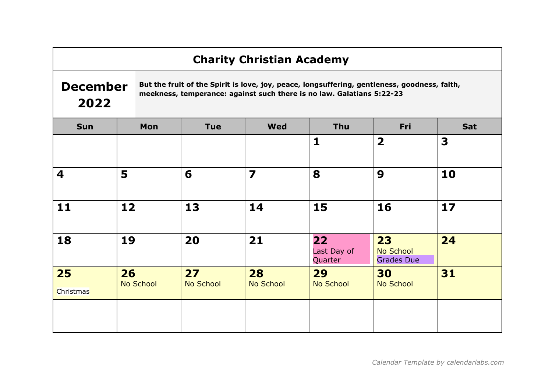# December 2022

But the fruit of the Spirit is love, joy, peace, longsuffering, gentleness, goodness, faith, meekness, temperance: against such there is no law. Galatians 5:22-23

| <b>Sun</b>              | Mon             | <b>Tue</b>             | <b>Wed</b>              | Thu                          | Fri                                  | Sat |
|-------------------------|-----------------|------------------------|-------------------------|------------------------------|--------------------------------------|-----|
|                         |                 |                        |                         | $\mathbf{1}$                 | $\overline{\mathbf{2}}$              | 3   |
| $\overline{\mathbf{4}}$ | 5               | 6                      | $\overline{\mathbf{z}}$ | 8                            | 9                                    | 10  |
| 11                      | 12              | 13                     | 14                      | 15                           | 16                                   | 17  |
| 18                      | 19              | 20                     | 21                      | 22<br>Last Day of<br>Quarter | 23<br>No School<br><b>Grades Due</b> | 24  |
| 25<br>Christmas         | 26<br>No School | 27<br><b>No School</b> | 28<br><b>No School</b>  | 29<br>No School              | 30<br><b>No School</b>               | 31  |
|                         |                 |                        |                         |                              |                                      |     |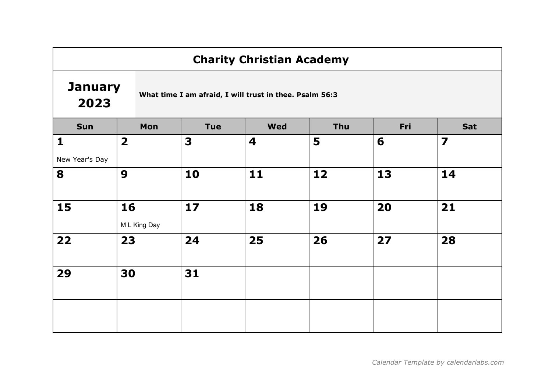#### **January** 2023

What time I am afraid, I will trust in thee. Psalm 56:3

| Sun            | Mon                     | <b>Tue</b> | <b>Wed</b> | Thu | Fri | Sat                     |
|----------------|-------------------------|------------|------------|-----|-----|-------------------------|
| $\mathbf{1}$   | $\overline{\mathbf{2}}$ | 3          | 4          | 5   | 6   | $\overline{\mathbf{z}}$ |
| New Year's Day |                         |            |            |     |     |                         |
| 8              | $\boldsymbol{9}$        | 10         | 11         | 12  | 13  | 14                      |
| 15             | 16                      | 17         | 18         | 19  | 20  | 21                      |
|                | M L King Day            |            |            |     |     |                         |
| 22             | 23                      | 24         | 25         | 26  | 27  | 28                      |
| 29             | 30                      | 31         |            |     |     |                         |
|                |                         |            |            |     |     |                         |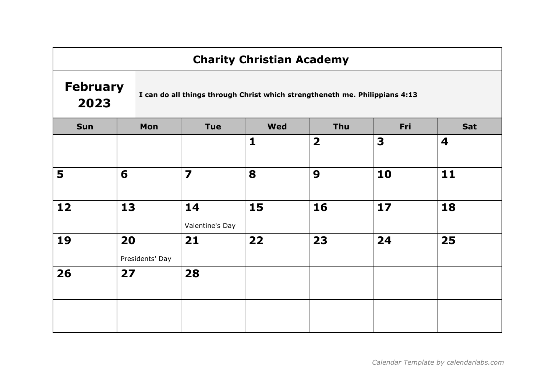## February 2023

I can do all things through Christ which strengtheneth me. Philippians 4:13

| Sun | Mon                   | Tue                     | <b>Wed</b>   | Thu                     | Fri  | Sat |
|-----|-----------------------|-------------------------|--------------|-------------------------|------|-----|
|     |                       |                         | $\mathbf{1}$ | $\overline{\mathbf{2}}$ | 3    | 4   |
| 5   | $6\phantom{1}6$       | $\overline{\mathbf{z}}$ | 8            | 9                       | 10   | 11  |
| 12  | 13                    | 14<br>Valentine's Day   | 15           | 16                      | $17$ | 18  |
| 19  | 20<br>Presidents' Day | 21                      | 22           | 23                      | 24   | 25  |
| 26  | 27                    | 28                      |              |                         |      |     |
|     |                       |                         |              |                         |      |     |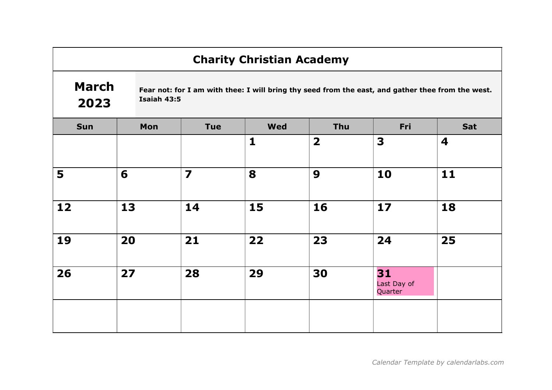## March 2023

Fear not: for I am with thee: I will bring thy seed from the east, and gather thee from the west. Isaiah 43:5

| Sun | Mon | Tue                     | <b>Wed</b>   | Thu                     | Fri                          | Sat |
|-----|-----|-------------------------|--------------|-------------------------|------------------------------|-----|
|     |     |                         | $\mathbf{1}$ | $\overline{\mathbf{2}}$ | 3                            | 4   |
| 5   | 6   | $\overline{\mathbf{z}}$ | 8            | 9                       | 10                           | 11  |
| 12  | 13  | 14                      | 15           | 16                      | 17                           | 18  |
| 19  | 20  | 21                      | 22           | 23                      | 24                           | 25  |
| 26  | 27  | 28                      | 29           | 30                      | 31<br>Last Day of<br>Quarter |     |
|     |     |                         |              |                         |                              |     |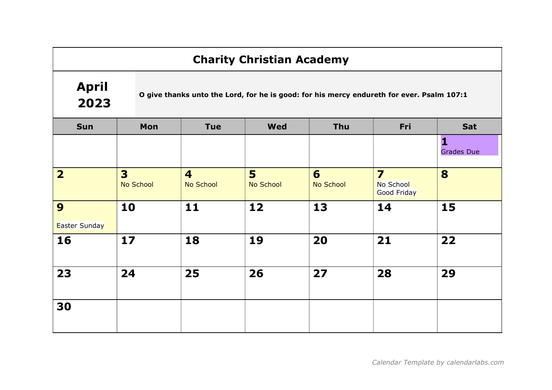# April 2023

O give thanks unto the Lord, for he is good: for his mercy endureth for ever. Psalm 107:1

| <b>Sun</b>         | Mon                                | <b>Tue</b>                           | <b>Wed</b>     | Thu            | Fri                                                 | Sat               |
|--------------------|------------------------------------|--------------------------------------|----------------|----------------|-----------------------------------------------------|-------------------|
|                    |                                    |                                      |                |                |                                                     | <b>Grades Due</b> |
| $\overline{2}$     | 3 <sup>1</sup><br><b>No School</b> | $\overline{\mathbf{4}}$<br>No School | 5<br>No School | 6<br>No School | $\overline{\mathbf{z}}$<br>No School<br>Good Friday | 8                 |
| 9<br>Easter Sunday | 10                                 | $11$                                 | 12             | 13             | 14                                                  | 15                |
| 16                 | 17                                 | 18                                   | 19             | 20             | 21                                                  | 22                |
| 23                 | 24                                 | 25                                   | 26             | 27             | 28                                                  | 29                |
| 30                 |                                    |                                      |                |                |                                                     |                   |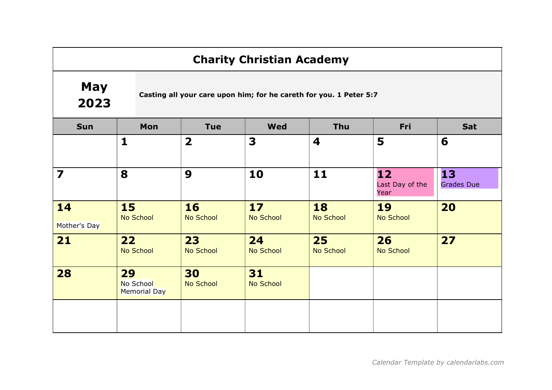## May 2023

Casting all your care upon him; for he careth for you. 1 Peter 5:7

| <b>Sun</b>              | Mon                             | <b>Tue</b>              | <b>Wed</b>             | Thu                    | Fri                           | Sat                     |
|-------------------------|---------------------------------|-------------------------|------------------------|------------------------|-------------------------------|-------------------------|
|                         | $\mathbf{1}$                    | $\overline{\mathbf{2}}$ | 3                      | 4                      | 5                             | 6                       |
| $\overline{\mathbf{z}}$ | 8                               | 9                       | 10                     | 11                     | 12<br>Last Day of the<br>Year | 13<br><b>Grades Due</b> |
| 14<br>Mother's Day      | <b>15</b><br><b>No School</b>   | <b>16</b><br>No School  | 17<br><b>No School</b> | 18<br><b>No School</b> | 19<br>No School               | 20                      |
| 21                      | 22<br><b>No School</b>          | 23<br>No School         | 24<br><b>No School</b> | 25<br><b>No School</b> | 26<br><b>No School</b>        | 27                      |
| 28                      | 29<br>No School<br>Memorial Day | 30<br><b>No School</b>  | 31<br><b>No School</b> |                        |                               |                         |
|                         |                                 |                         |                        |                        |                               |                         |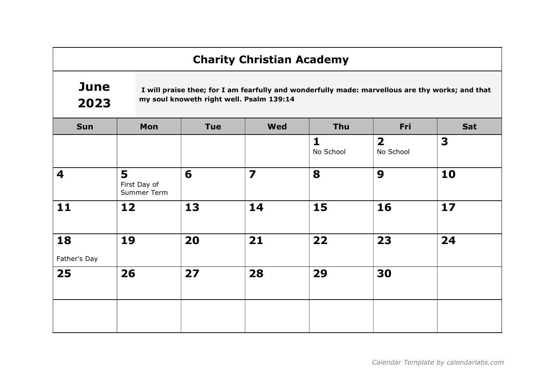## **June** 2023

 I will praise thee; for I am fearfully and wonderfully made: marvellous are thy works; and that my soul knoweth right well. Psalm 139:14

| Sun                | Mon                              | Tue | <b>Wed</b>              | Thu                       | Fri                                  | Sat |
|--------------------|----------------------------------|-----|-------------------------|---------------------------|--------------------------------------|-----|
|                    |                                  |     |                         | $\mathbf{1}$<br>No School | $\overline{\mathbf{2}}$<br>No School | 3   |
| 4                  | 5<br>First Day of<br>Summer Term | 6   | $\overline{\mathbf{z}}$ | 8                         | 9                                    | 10  |
| 11                 | 12                               | 13  | 14                      | 15                        | 16                                   | 17  |
| 18<br>Father's Day | 19                               | 20  | 21                      | 22                        | 23                                   | 24  |
| 25                 | 26                               | 27  | 28                      | 29                        | 30                                   |     |
|                    |                                  |     |                         |                           |                                      |     |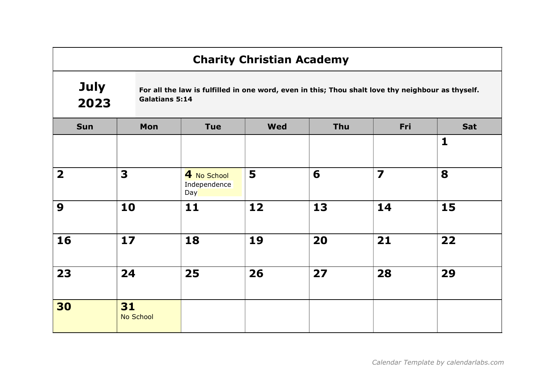#### July 2023 For all the law is fulfilled in one word, even in this; Thou shalt love thy neighbour as thyself. Galatians 5:14

| <b>Sun</b>              | Mon                    | <b>Tue</b>                         | <b>Wed</b> | Thu | Fri                     | Sat          |
|-------------------------|------------------------|------------------------------------|------------|-----|-------------------------|--------------|
|                         |                        |                                    |            |     |                         | $\mathbf{1}$ |
| $\overline{\mathbf{2}}$ | 3                      | 4 No School<br>Independence<br>Day | 5          | 6   | $\overline{\mathbf{z}}$ | 8            |
| 9                       | 10                     | 11                                 | 12         | 13  | 14                      | 15           |
| 16                      | 17                     | 18                                 | 19         | 20  | 21                      | 22           |
| 23                      | 24                     | 25                                 | 26         | 27  | 28                      | 29           |
| 30                      | 31<br><b>No School</b> |                                    |            |     |                         |              |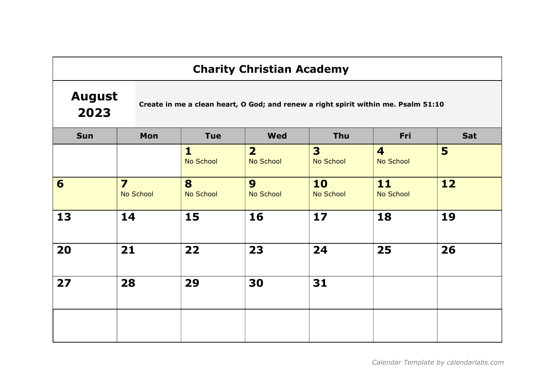#### August 2023

Create in me a clean heart, O God; and renew a right spirit within me. Psalm 51:10

| <b>Sun</b> | Mon                                  | <b>Tue</b>                | <b>Wed</b>                  | Thu                         | Fri                                  | Sat |
|------------|--------------------------------------|---------------------------|-----------------------------|-----------------------------|--------------------------------------|-----|
|            |                                      | $\mathbf{1}$<br>No School | $\overline{2}$<br>No School | 3 <sup>1</sup><br>No School | $\overline{\mathbf{4}}$<br>No School | 5   |
| 6          | $\overline{\mathbf{z}}$<br>No School | 8<br>No School            | 9<br>No School              | 10<br>No School             | 11<br>No School                      | 12  |
| 13         | 14                                   | 15                        | 16                          | 17                          | 18                                   | 19  |
| 20         | 21                                   | 22                        | 23                          | 24                          | 25                                   | 26  |
| 27         | 28                                   | 29                        | 30                          | 31                          |                                      |     |
|            |                                      |                           |                             |                             |                                      |     |